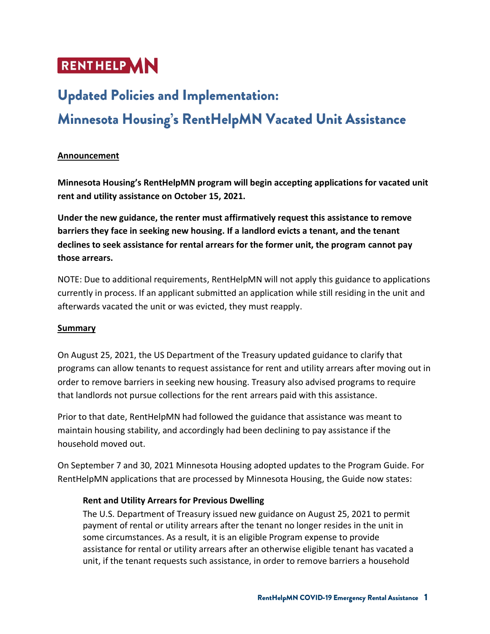# **RENTHELP AN**

## **Updated Policies and Implementation:** Minnesota Housing's RentHelpMN Vacated Unit Assistance

#### **Announcement**

**Minnesota Housing's RentHelpMN program will begin accepting applications for vacated unit rent and utility assistance on October 15, 2021.** 

**Under the new guidance, the renter must affirmatively request this assistance to remove barriers they face in seeking new housing. If a landlord evicts a tenant, and the tenant declines to seek assistance for rental arrears for the former unit, the program cannot pay those arrears.**

NOTE: Due to additional requirements, RentHelpMN will not apply this guidance to applications currently in process. If an applicant submitted an application while still residing in the unit and afterwards vacated the unit or was evicted, they must reapply.

#### **Summary**

On August 25, 2021, the US Department of the Treasury updated guidance to clarify that programs can allow tenants to request assistance for rent and utility arrears after moving out in order to remove barriers in seeking new housing. Treasury also advised programs to require that landlords not pursue collections for the rent arrears paid with this assistance.

Prior to that date, RentHelpMN had followed the guidance that assistance was meant to maintain housing stability, and accordingly had been declining to pay assistance if the household moved out.

On September 7 and 30, 2021 Minnesota Housing adopted updates to the Program Guide. For RentHelpMN applications that are processed by Minnesota Housing, the Guide now states:

#### **Rent and Utility Arrears for Previous Dwelling**

The U.S. Department of Treasury issued new guidance on August 25, 2021 to permit payment of rental or utility arrears after the tenant no longer resides in the unit in some circumstances. As a result, it is an eligible Program expense to provide assistance for rental or utility arrears after an otherwise eligible tenant has vacated a unit, if the tenant requests such assistance, in order to remove barriers a household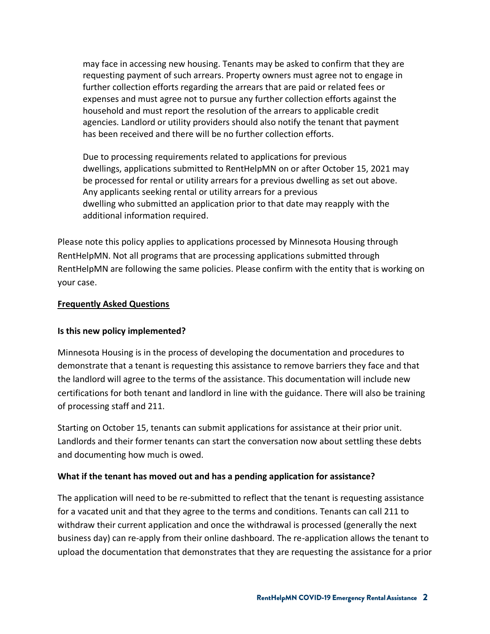may face in accessing new housing. Tenants may be asked to confirm that they are requesting payment of such arrears. Property owners must agree not to engage in further collection efforts regarding the arrears that are paid or related fees or expenses and must agree not to pursue any further collection efforts against the household and must report the resolution of the arrears to applicable credit agencies. Landlord or utility providers should also notify the tenant that payment has been received and there will be no further collection efforts.

Due to processing requirements related to applications for previous dwellings, applications submitted to RentHelpMN on or after October 15, 2021 may be processed for rental or utility arrears for a previous dwelling as set out above. Any applicants seeking rental or utility arrears for a previous dwelling who submitted an application prior to that date may reapply with the additional information required.

Please note this policy applies to applications processed by Minnesota Housing through RentHelpMN. Not all programs that are processing applications submitted through RentHelpMN are following the same policies. Please confirm with the entity that is working on your case.

#### **Frequently Asked Questions**

#### **Is this new policy implemented?**

Minnesota Housing is in the process of developing the documentation and procedures to demonstrate that a tenant is requesting this assistance to remove barriers they face and that the landlord will agree to the terms of the assistance. This documentation will include new certifications for both tenant and landlord in line with the guidance. There will also be training of processing staff and 211.

Starting on October 15, tenants can submit applications for assistance at their prior unit. Landlords and their former tenants can start the conversation now about settling these debts and documenting how much is owed.

#### **What if the tenant has moved out and has a pending application for assistance?**

The application will need to be re-submitted to reflect that the tenant is requesting assistance for a vacated unit and that they agree to the terms and conditions. Tenants can call 211 to withdraw their current application and once the withdrawal is processed (generally the next business day) can re-apply from their online dashboard. The re-application allows the tenant to upload the documentation that demonstrates that they are requesting the assistance for a prior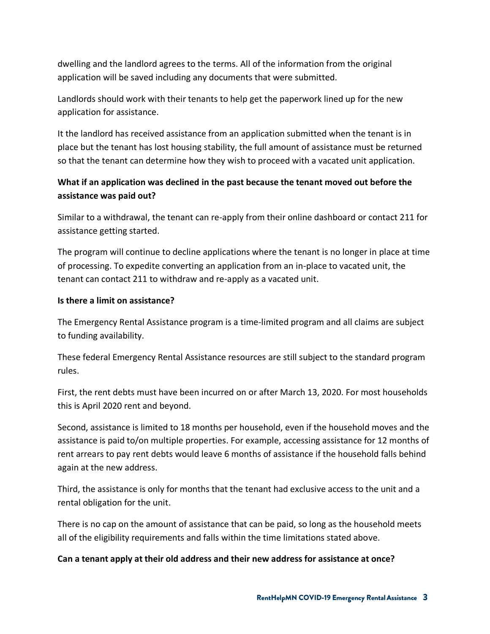dwelling and the landlord agrees to the terms. All of the information from the original application will be saved including any documents that were submitted.

Landlords should work with their tenants to help get the paperwork lined up for the new application for assistance.

It the landlord has received assistance from an application submitted when the tenant is in place but the tenant has lost housing stability, the full amount of assistance must be returned so that the tenant can determine how they wish to proceed with a vacated unit application.

## **What if an application was declined in the past because the tenant moved out before the assistance was paid out?**

Similar to a withdrawal, the tenant can re-apply from their online dashboard or contact 211 for assistance getting started.

The program will continue to decline applications where the tenant is no longer in place at time of processing. To expedite converting an application from an in-place to vacated unit, the tenant can contact 211 to withdraw and re-apply as a vacated unit.

#### **Is there a limit on assistance?**

The Emergency Rental Assistance program is a time-limited program and all claims are subject to funding availability.

These federal Emergency Rental Assistance resources are still subject to the standard program rules.

First, the rent debts must have been incurred on or after March 13, 2020. For most households this is April 2020 rent and beyond.

Second, assistance is limited to 18 months per household, even if the household moves and the assistance is paid to/on multiple properties. For example, accessing assistance for 12 months of rent arrears to pay rent debts would leave 6 months of assistance if the household falls behind again at the new address.

Third, the assistance is only for months that the tenant had exclusive access to the unit and a rental obligation for the unit.

There is no cap on the amount of assistance that can be paid, so long as the household meets all of the eligibility requirements and falls within the time limitations stated above.

#### **Can a tenant apply at their old address and their new address for assistance at once?**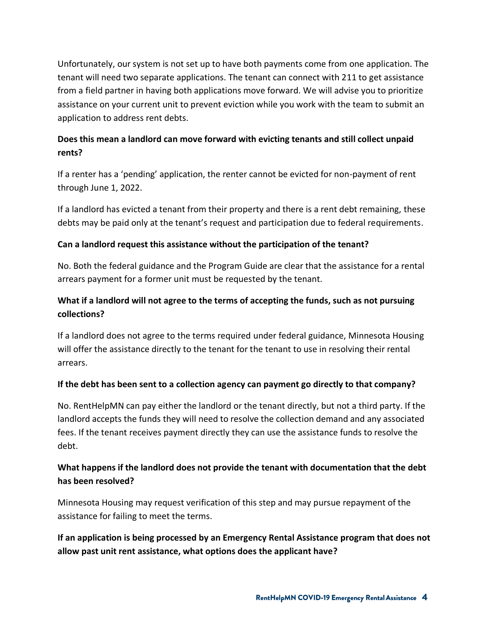Unfortunately, our system is not set up to have both payments come from one application. The tenant will need two separate applications. The tenant can connect with 211 to get assistance from a field partner in having both applications move forward. We will advise you to prioritize assistance on your current unit to prevent eviction while you work with the team to submit an application to address rent debts.

## **Does this mean a landlord can move forward with evicting tenants and still collect unpaid rents?**

If a renter has a 'pending' application, the renter cannot be evicted for non-payment of rent through June 1, 2022.

If a landlord has evicted a tenant from their property and there is a rent debt remaining, these debts may be paid only at the tenant's request and participation due to federal requirements.

#### **Can a landlord request this assistance without the participation of the tenant?**

No. Both the federal guidance and the Program Guide are clear that the assistance for a rental arrears payment for a former unit must be requested by the tenant.

## **What if a landlord will not agree to the terms of accepting the funds, such as not pursuing collections?**

If a landlord does not agree to the terms required under federal guidance, Minnesota Housing will offer the assistance directly to the tenant for the tenant to use in resolving their rental arrears.

#### **If the debt has been sent to a collection agency can payment go directly to that company?**

No. RentHelpMN can pay either the landlord or the tenant directly, but not a third party. If the landlord accepts the funds they will need to resolve the collection demand and any associated fees. If the tenant receives payment directly they can use the assistance funds to resolve the debt.

## **What happens if the landlord does not provide the tenant with documentation that the debt has been resolved?**

Minnesota Housing may request verification of this step and may pursue repayment of the assistance for failing to meet the terms.

**If an application is being processed by an Emergency Rental Assistance program that does not allow past unit rent assistance, what options does the applicant have?**